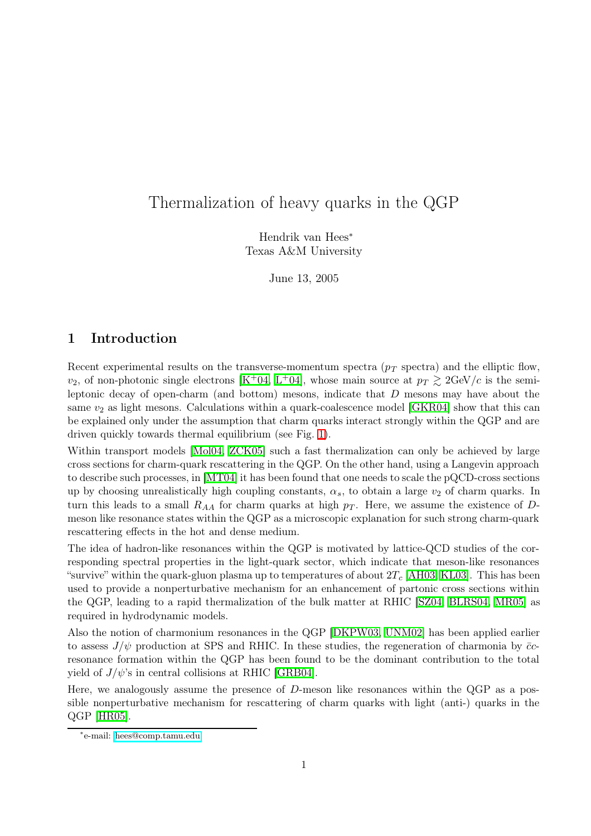# Thermalization of heavy quarks in the QGP

Hendrik van Hees<sup>∗</sup> Texas A&M University

June 13, 2005

## 1 Introduction

Recent experimental results on the transverse-momentum spectra  $(p_T)$  spectra) and the elliptic flow,  $v_2$ , of non-photonic single electrons [K<sup>+</sup>[04,](#page-7-0) L<sup>+</sup>[04\]](#page-7-1), whose main source at  $p_T \gtrsim 2 \text{GeV}/c$  is the semileptonic decay of open-charm (and bottom) mesons, indicate that D mesons may have about the same  $v_2$  as light mesons. Calculations within a quark-coalescence model [[GKR04\]](#page-6-0) show that this can be explained only under the assumption that charm quarks interact strongly within the QGP and are driven quickly towards thermal equilibrium (see Fig. [1\)](#page-1-0).

Within transport models [\[Mol04,](#page-7-2) [ZCK05\]](#page-7-3) such a fast thermalization can only be achieved by large cross sections for charm-quark rescattering in the QGP. On the other hand, using a Langevin approach to describe such processes, in [\[MT04\]](#page-7-4) it has been found that one needs to scale the pQCD-cross sections up by choosing unrealistically high coupling constants,  $\alpha_s$ , to obtain a large  $v_2$  of charm quarks. In turn this leads to a small  $R_{AA}$  for charm quarks at high  $p_T$ . Here, we assume the existence of Dmeson like resonance states within the QGP as a microscopic explanation for such strong charm-quark rescattering effects in the hot and dense medium.

The idea of hadron-like resonances within the QGP is motivated by lattice-QCD studies of the corresponding spectral properties in the light-quark sector, which indicate that meson-like resonances "survive" within the quark-gluon plasma up to temperatures of about  $2T_c$  [\[AH03,](#page-6-1) [KL03\]](#page-7-5). This has been used to provide a nonperturbative mechanism for an enhancement of partonic cross sections within the QGP, leading to a rapid thermalization of the bulk matter at RHIC [\[SZ04,](#page-7-6) [BLRS04,](#page-6-2) [MR05\]](#page-7-7) as required in hydrodynamic models.

Also the notion of charmonium resonances in the QGP [\[DKPW03,](#page-6-3) [UNM02\]](#page-7-8) has been applied earlier to assess  $J/\psi$  production at SPS and RHIC. In these studies, the regeneration of charmonia by  $\bar{c}$ resonance formation within the QGP has been found to be the dominant contribution to the total yield of  $J/\psi$ 's in central collisions at RHIC [\[GRB04\]](#page-6-4).

Here, we analogously assume the presence of D-meson like resonances within the QGP as a possible nonperturbative mechanism for rescattering of charm quarks with light (anti-) quarks in the QGP [\[HR05\]](#page-6-5).

<sup>∗</sup> e-mail: [hees@comp.tamu.edu](mailto:hees@comp.tamu.edu)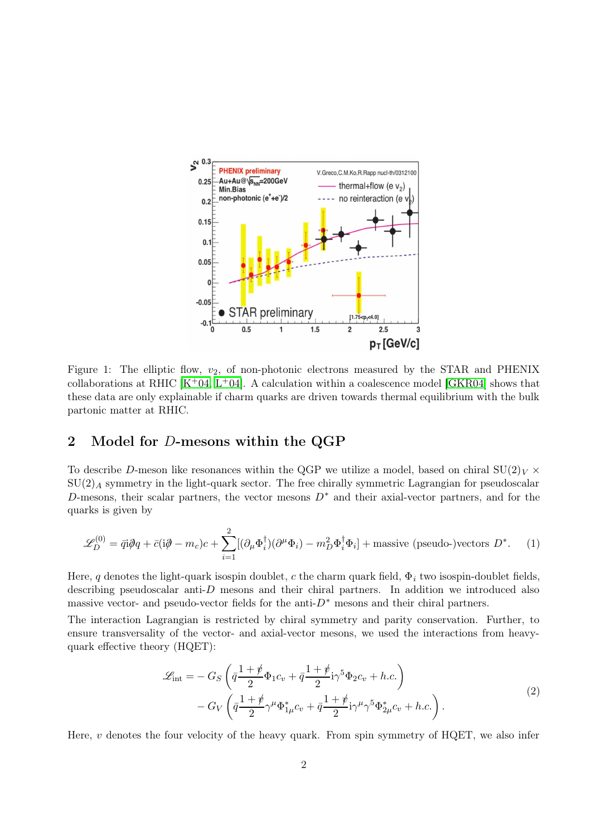

<span id="page-1-0"></span>Figure 1: The elliptic flow,  $v_2$ , of non-photonic electrons measured by the STAR and PHENIX collaborations at RHIC  $[K+04, L+04]$  $[K+04, L+04]$  $[K+04, L+04]$  $[K+04, L+04]$ . A calculation within a coalescence model [\[GKR04\]](#page-6-0) shows that these data are only explainable if charm quarks are driven towards thermal equilibrium with the bulk partonic matter at RHIC.

## 2 Model for D-mesons within the QGP

To describe D-meson like resonances within the QGP we utilize a model, based on chiral  $SU(2)_V \times$  $SU(2)_A$  symmetry in the light-quark sector. The free chirally symmetric Lagrangian for pseudoscalar D-mesons, their scalar partners, the vector mesons  $D^*$  and their axial-vector partners, and for the quarks is given by

$$
\mathcal{L}_D^{(0)} = \bar{q}\mathbf{i}\partial q + \bar{c}(\mathbf{i}\partial - m_c)c + \sum_{i=1}^2 [(\partial_\mu \Phi_i^\dagger)(\partial^\mu \Phi_i) - m_D^2 \Phi_i^\dagger \Phi_i] + \text{massive (pseudo-)vectors } D^*. \tag{1}
$$

Here, q denotes the light-quark isospin doublet, c the charm quark field,  $\Phi_i$  two isospin-doublet fields, describing pseudoscalar anti-D mesons and their chiral partners. In addition we introduced also massive vector- and pseudo-vector fields for the anti- $D^*$  mesons and their chiral partners.

The interaction Lagrangian is restricted by chiral symmetry and parity conservation. Further, to ensure transversality of the vector- and axial-vector mesons, we used the interactions from heavyquark effective theory (HQET):

$$
\mathcal{L}_{int} = -G_S \left( \bar{q} \frac{1+\rlap/v}{2} \Phi_1 c_v + \bar{q} \frac{1+\rlap/v}{2} i \gamma^5 \Phi_2 c_v + h.c. \right) \n- G_V \left( \bar{q} \frac{1+\rlap/v}{2} \gamma^\mu \Phi_{1\mu}^* c_v + \bar{q} \frac{1+\rlap/v}{2} i \gamma^\mu \gamma^5 \Phi_{2\mu}^* c_v + h.c. \right).
$$
\n<sup>(2)</sup>

Here,  $\nu$  denotes the four velocity of the heavy quark. From spin symmetry of HQET, we also infer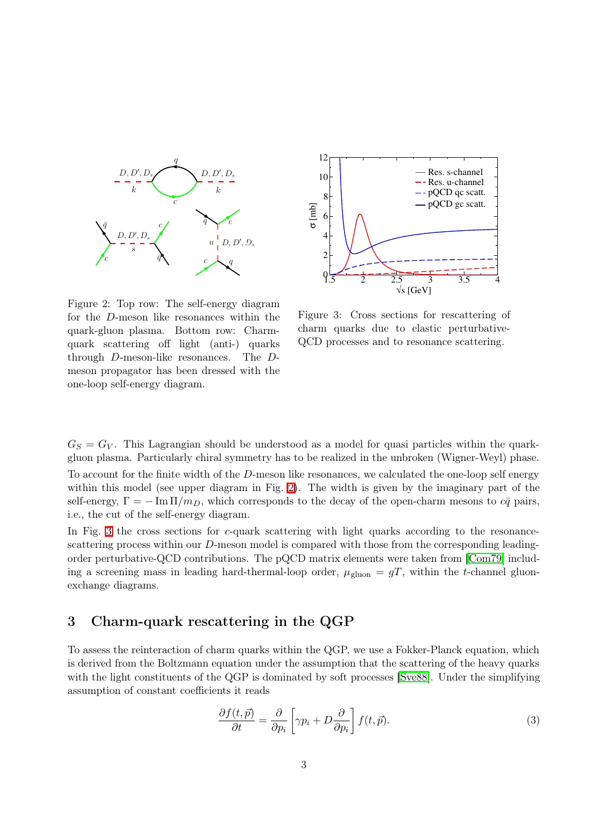

<span id="page-2-0"></span>Figure 2: Top row: The self-energy diagram for the D-meson like resonances within the quark-gluon plasma. Bottom row: Charmquark scattering off light (anti-) quarks through D-meson-like resonances. The Dmeson propagator has been dressed with the one-loop self-energy diagram.



<span id="page-2-1"></span>Figure 3: Cross sections for rescattering of charm quarks due to elastic perturbative-QCD processes and to resonance scattering.

 $G<sub>S</sub> = G<sub>V</sub>$ . This Lagrangian should be understood as a model for quasi particles within the quarkgluon plasma. Particularly chiral symmetry has to be realized in the unbroken (Wigner-Weyl) phase.

To account for the finite width of the D-meson like resonances, we calculated the one-loop self energy within this model (see upper diagram in Fig. [2\)](#page-2-0). The width is given by the imaginary part of the self-energy,  $\Gamma = -\text{Im}\,\Pi/m_D$ , which corresponds to the decay of the open-charm mesons to  $c\bar{q}$  pairs, i.e., the cut of the self-energy diagram.

In Fig. [3](#page-2-1) the cross sections for  $c$ -quark scattering with light quarks according to the resonancescattering process within our D-meson model is compared with those from the corresponding leadingorder perturbative-QCD contributions. The pQCD matrix elements were taken from [\[Com79\]](#page-6-6) including a screening mass in leading hard-thermal-loop order,  $\mu_{\text{gluon}} = gT$ , within the t-channel gluonexchange diagrams.

#### 3 Charm-quark rescattering in the QGP

To assess the reinteraction of charm quarks within the QGP, we use a Fokker-Planck equation, which is derived from the Boltzmann equation under the assumption that the scattering of the heavy quarks with the light constituents of the QGP is dominated by soft processes [\[Sve88\]](#page-7-9). Under the simplifying assumption of constant coefficients it reads

$$
\frac{\partial f(t,\vec{p})}{\partial t} = \frac{\partial}{\partial p_i} \left[ \gamma p_i + D \frac{\partial}{\partial p_i} \right] f(t,\vec{p}).
$$
\n(3)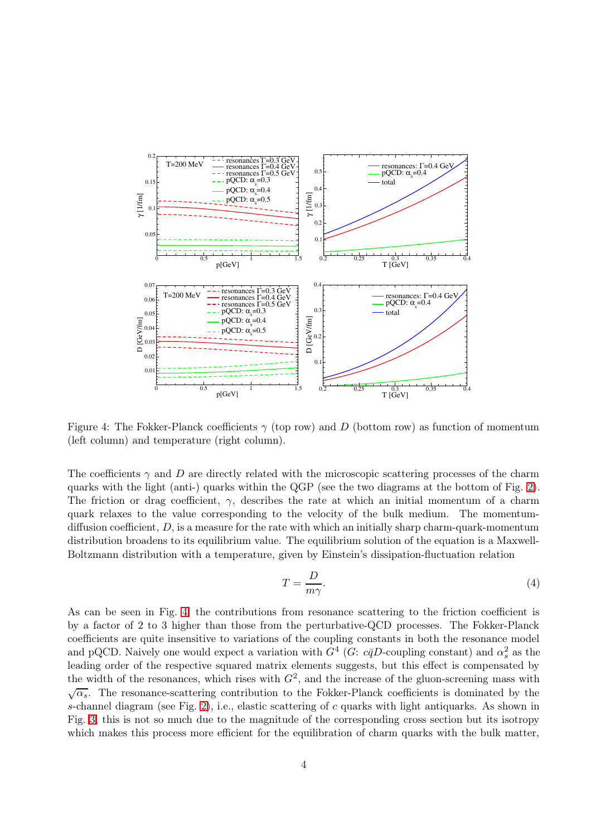

<span id="page-3-0"></span>Figure 4: The Fokker-Planck coefficients  $\gamma$  (top row) and D (bottom row) as function of momentum (left column) and temperature (right column).

The coefficients  $\gamma$  and D are directly related with the microscopic scattering processes of the charm quarks with the light (anti-) quarks within the QGP (see the two diagrams at the bottom of Fig. [2\)](#page-2-0). The friction or drag coefficient,  $\gamma$ , describes the rate at which an initial momentum of a charm quark relaxes to the value corresponding to the velocity of the bulk medium. The momentumdiffusion coefficient,  $D$ , is a measure for the rate with which an initially sharp charm-quark-momentum distribution broadens to its equilibrium value. The equilibrium solution of the equation is a Maxwell-Boltzmann distribution with a temperature, given by Einstein's dissipation-fluctuation relation

$$
T = \frac{D}{m\gamma}.\tag{4}
$$

As can be seen in Fig. [4,](#page-3-0) the contributions from resonance scattering to the friction coefficient is by a factor of 2 to 3 higher than those from the perturbative-QCD processes. The Fokker-Planck coefficients are quite insensitive to variations of the coupling constants in both the resonance model and pQCD. Naively one would expect a variation with  $G<sup>4</sup>$  (G:  $c\bar{q}D$ -coupling constant) and  $\alpha_s^2$  as the leading order of the respective squared matrix elements suggests, but this effect is compensated by the width of the resonances, which rises with  $G^2$ , and the increase of the gluon-screening mass with  $\sqrt{\alpha_s}$ . The resonance-scattering contribution to the Fokker-Planck coefficients is dominated by the s-channel diagram (see Fig. [2\)](#page-2-0), i.e., elastic scattering of c quarks with light antiquarks. As shown in Fig. [3,](#page-2-1) this is not so much due to the magnitude of the corresponding cross section but its isotropy which makes this process more efficient for the equilibration of charm quarks with the bulk matter,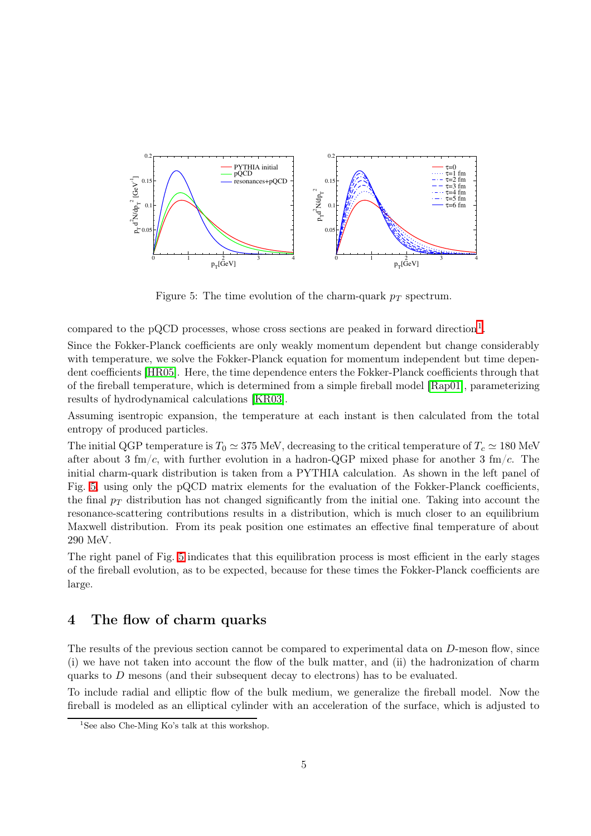

<span id="page-4-1"></span>Figure 5: The time evolution of the charm-quark  $p_T$  spectrum.

compared to the pQCD processes, whose cross sections are peaked in forward direction<sup>[1](#page-4-0)</sup>.

Since the Fokker-Planck coefficients are only weakly momentum dependent but change considerably with temperature, we solve the Fokker-Planck equation for momentum independent but time dependent coefficients [\[HR05\]](#page-6-5). Here, the time dependence enters the Fokker-Planck coefficients through that of the fireball temperature, which is determined from a simple fireball model [\[Rap01\]](#page-7-10), parameterizing results of hydrodynamical calculations [\[KR03\]](#page-7-11).

Assuming isentropic expansion, the temperature at each instant is then calculated from the total entropy of produced particles.

The initial QGP temperature is  $T_0 \simeq 375$  MeV, decreasing to the critical temperature of  $T_c \simeq 180$  MeV after about 3 fm/c, with further evolution in a hadron-QGP mixed phase for another 3 fm/c. The initial charm-quark distribution is taken from a PYTHIA calculation. As shown in the left panel of Fig. [5,](#page-4-1) using only the pQCD matrix elements for the evaluation of the Fokker-Planck coefficients, the final  $p_T$  distribution has not changed significantly from the initial one. Taking into account the resonance-scattering contributions results in a distribution, which is much closer to an equilibrium Maxwell distribution. From its peak position one estimates an effective final temperature of about 290 MeV.

The right panel of Fig. [5](#page-4-1) indicates that this equilibration process is most efficient in the early stages of the fireball evolution, as to be expected, because for these times the Fokker-Planck coefficients are large.

#### 4 The flow of charm quarks

The results of the previous section cannot be compared to experimental data on D-meson flow, since (i) we have not taken into account the flow of the bulk matter, and (ii) the hadronization of charm quarks to  $D$  mesons (and their subsequent decay to electrons) has to be evaluated.

To include radial and elliptic flow of the bulk medium, we generalize the fireball model. Now the fireball is modeled as an elliptical cylinder with an acceleration of the surface, which is adjusted to

<span id="page-4-0"></span><sup>&</sup>lt;sup>1</sup>See also Che-Ming Ko's talk at this workshop.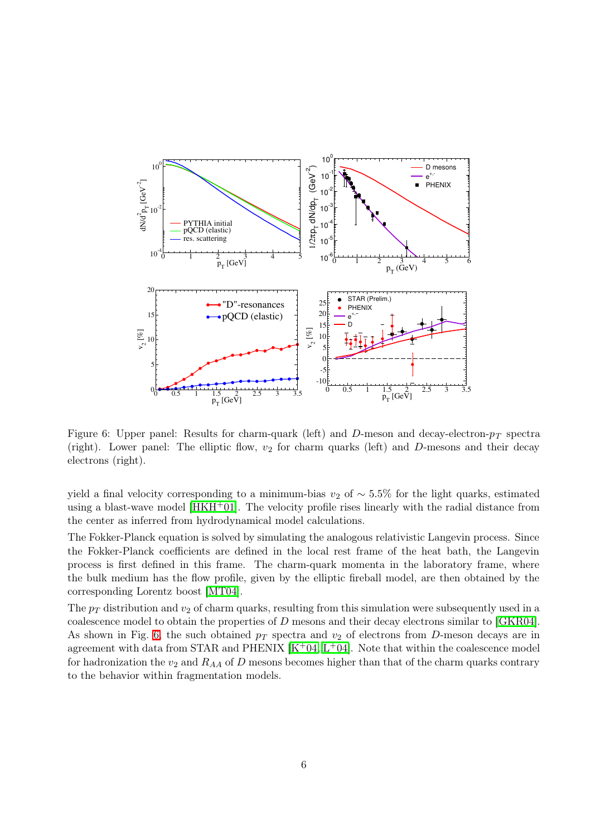

<span id="page-5-0"></span>Figure 6: Upper panel: Results for charm-quark (left) and D-meson and decay-electron- $p_T$  spectra (right). Lower panel: The elliptic flow,  $v_2$  for charm quarks (left) and D-mesons and their decay electrons (right).

yield a final velocity corresponding to a minimum-bias  $v_2$  of ~ 5.5% for the light quarks, estimated using a blast-wave model  $[HKH^+01]$  $[HKH^+01]$ . The velocity profile rises linearly with the radial distance from the center as inferred from hydrodynamical model calculations.

The Fokker-Planck equation is solved by simulating the analogous relativistic Langevin process. Since the Fokker-Planck coefficients are defined in the local rest frame of the heat bath, the Langevin process is first defined in this frame. The charm-quark momenta in the laboratory frame, where the bulk medium has the flow profile, given by the elliptic fireball model, are then obtained by the corresponding Lorentz boost [\[MT04\]](#page-7-4).

The  $p_T$  distribution and  $v_2$  of charm quarks, resulting from this simulation were subsequently used in a coalescence model to obtain the properties of D mesons and their decay electrons similar to [\[GKR04\]](#page-6-0). As shown in Fig. [6,](#page-5-0) the such obtained  $p_T$  spectra and  $v_2$  of electrons from D-meson decays are in agreement with data from STAR and PHENIX  $[K^+04, L^+04]$  $[K^+04, L^+04]$  $[K^+04, L^+04]$  $[K^+04, L^+04]$ . Note that within the coalescence model for hadronization the  $v_2$  and  $R_{AA}$  of D mesons becomes higher than that of the charm quarks contrary to the behavior within fragmentation models.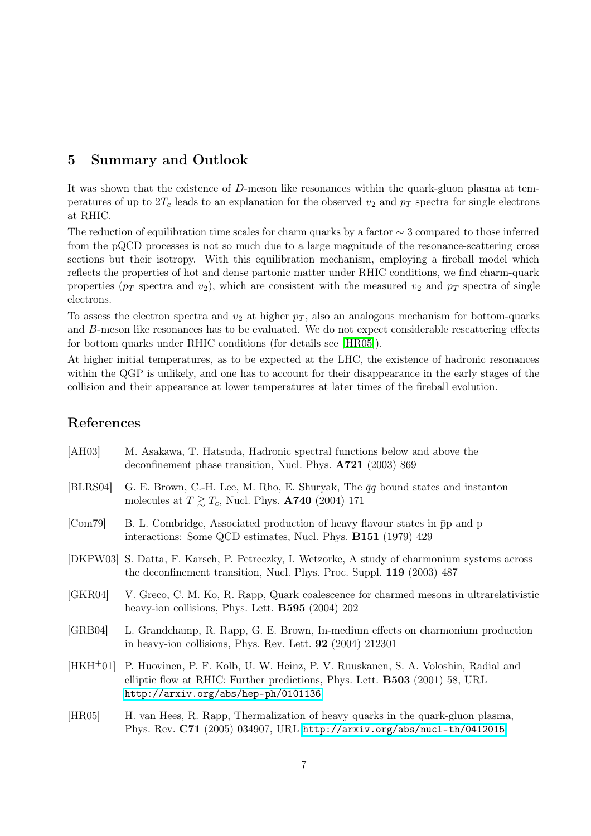## 5 Summary and Outlook

It was shown that the existence of D-meson like resonances within the quark-gluon plasma at temperatures of up to  $2T_c$  leads to an explanation for the observed  $v_2$  and  $p_T$  spectra for single electrons at RHIC.

The reduction of equilibration time scales for charm quarks by a factor ∼ 3 compared to those inferred from the pQCD processes is not so much due to a large magnitude of the resonance-scattering cross sections but their isotropy. With this equilibration mechanism, employing a fireball model which reflects the properties of hot and dense partonic matter under RHIC conditions, we find charm-quark properties ( $p_T$  spectra and  $v_2$ ), which are consistent with the measured  $v_2$  and  $p_T$  spectra of single electrons.

To assess the electron spectra and  $v_2$  at higher  $p_T$ , also an analogous mechanism for bottom-quarks and B-meson like resonances has to be evaluated. We do not expect considerable rescattering effects for bottom quarks under RHIC conditions (for details see [\[HR05\]](#page-6-5)).

At higher initial temperatures, as to be expected at the LHC, the existence of hadronic resonances within the QGP is unlikely, and one has to account for their disappearance in the early stages of the collision and their appearance at lower temperatures at later times of the fireball evolution.

## References

<span id="page-6-7"></span><span id="page-6-6"></span><span id="page-6-5"></span><span id="page-6-4"></span><span id="page-6-3"></span><span id="page-6-2"></span><span id="page-6-1"></span><span id="page-6-0"></span>

| [AH03]     | M. Asakawa, T. Hatsuda, Hadronic spectral functions below and above the<br>deconfinement phase transition, Nucl. Phys. A721 (2003) 869                                                                         |
|------------|----------------------------------------------------------------------------------------------------------------------------------------------------------------------------------------------------------------|
| [BLRS04]   | G. E. Brown, C.-H. Lee, M. Rho, E. Shuryak, The $\bar{q}q$ bound states and instanton<br>molecules at $T \gtrsim T_c$ , Nucl. Phys. <b>A740</b> (2004) 171                                                     |
| [Com79]    | B. L. Combridge, Associated production of heavy flavour states in $\bar{p}p$ and p<br>interactions: Some QCD estimates, Nucl. Phys. B151 (1979) 429                                                            |
|            | [DKPW03] S. Datta, F. Karsch, P. Petreczky, I. Wetzorke, A study of charmonium systems across<br>the deconfinement transition, Nucl. Phys. Proc. Suppl. 119 (2003) 487                                         |
| [GRR04]    | V. Greco, C. M. Ko, R. Rapp, Quark coalescence for charmed mesons in ultrarelativistic<br>heavy-ion collisions, Phys. Lett. <b>B595</b> (2004) 202                                                             |
| [GRB04]    | L. Grandchamp, R. Rapp, G. E. Brown, In-medium effects on charmonium production<br>in heavy-ion collisions, Phys. Rev. Lett. $92$ (2004) 212301                                                                |
| $[HKH+01]$ | P. Huovinen, P. F. Kolb, U. W. Heinz, P. V. Ruuskanen, S. A. Voloshin, Radial and<br>elliptic flow at RHIC: Further predictions, Phys. Lett. <b>B503</b> (2001) 58, URL<br>http://arxiv.org/abs/hep-ph/0101136 |
| [HR05]     | H. van Hees, R. Rapp, Thermalization of heavy quarks in the quark-gluon plasma,<br>Phys. Rev. C71 (2005) 034907, URL http://arxiv.org/abs/nucl-th/0412015                                                      |
|            |                                                                                                                                                                                                                |